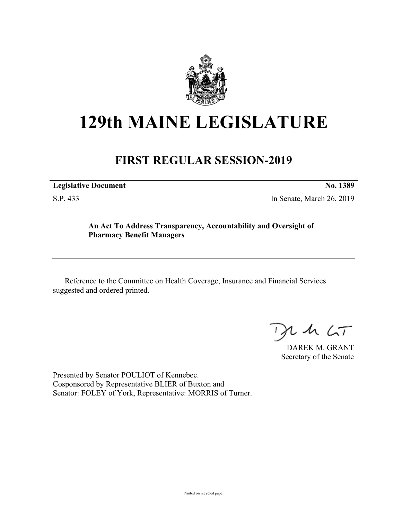

## **129th MAINE LEGISLATURE**

## **FIRST REGULAR SESSION-2019**

**Legislative Document No. 1389**

S.P. 433 In Senate, March 26, 2019

## **An Act To Address Transparency, Accountability and Oversight of Pharmacy Benefit Managers**

Reference to the Committee on Health Coverage, Insurance and Financial Services suggested and ordered printed.

 $425$ 

DAREK M. GRANT Secretary of the Senate

Presented by Senator POULIOT of Kennebec. Cosponsored by Representative BLIER of Buxton and Senator: FOLEY of York, Representative: MORRIS of Turner.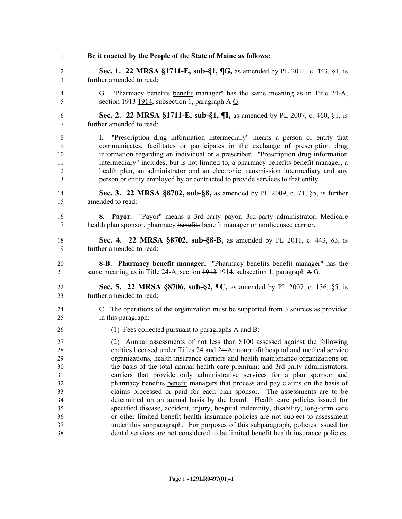**Be it enacted by the People of the State of Maine as follows: Sec. 1. 22 MRSA §1711-E, sub-§1, ¶G,** as amended by PL 2011, c. 443, §1, is further amended to read: G. "Pharmacy benefits benefit manager" has the same meaning as in Title 24-A, section 1913 1914, subsection 1, paragraph A G. **Sec. 2. 22 MRSA §1711-E, sub-§1, ¶I,** as amended by PL 2007, c. 460, §1, is further amended to read: I. "Prescription drug information intermediary" means a person or entity that communicates, facilitates or participates in the exchange of prescription drug information regarding an individual or a prescriber. "Prescription drug information 11 intermediary" includes, but is not limited to, a pharmacy benefits benefit manager, a health plan, an administrator and an electronic transmission intermediary and any person or entity employed by or contracted to provide services to that entity. **Sec. 3. 22 MRSA §8702, sub-§8,** as amended by PL 2009, c. 71, §5, is further amended to read: **8. Payor.** "Payor" means a 3rd-party payor, 3rd-party administrator, Medicare health plan sponsor, pharmacy benefits benefit manager or nonlicensed carrier. **Sec. 4. 22 MRSA §8702, sub-§8-B,** as amended by PL 2011, c. 443, §3, is further amended to read: **8-B. Pharmacy benefit manager.** "Pharmacy benefits benefit manager" has the same meaning as in Title 24-A, section 1913 1914, subsection 1, paragraph A G. **Sec. 5. 22 MRSA §8706, sub-§2, ¶C,** as amended by PL 2007, c. 136, §5, is further amended to read: C. The operations of the organization must be supported from 3 sources as provided in this paragraph: (1) Fees collected pursuant to paragraphs A and B; (2) Annual assessments of not less than \$100 assessed against the following entities licensed under Titles 24 and 24-A: nonprofit hospital and medical service organizations, health insurance carriers and health maintenance organizations on the basis of the total annual health care premium; and 3rd-party administrators, carriers that provide only administrative services for a plan sponsor and pharmacy benefits benefit managers that process and pay claims on the basis of claims processed or paid for each plan sponsor. The assessments are to be determined on an annual basis by the board. Health care policies issued for specified disease, accident, injury, hospital indemnity, disability, long-term care or other limited benefit health insurance policies are not subject to assessment under this subparagraph. For purposes of this subparagraph, policies issued for dental services are not considered to be limited benefit health insurance policies.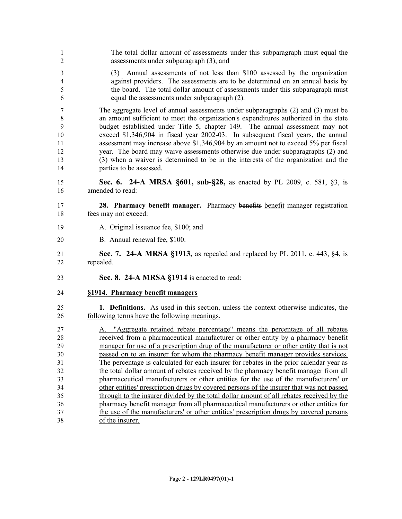The total dollar amount of assessments under this subparagraph must equal the assessments under subparagraph (3); and (3) Annual assessments of not less than \$100 assessed by the organization against providers. The assessments are to be determined on an annual basis by the board. The total dollar amount of assessments under this subparagraph must equal the assessments under subparagraph (2). The aggregate level of annual assessments under subparagraphs (2) and (3) must be an amount sufficient to meet the organization's expenditures authorized in the state budget established under Title 5, chapter 149. The annual assessment may not exceed \$1,346,904 in fiscal year 2002-03. In subsequent fiscal years, the annual assessment may increase above \$1,346,904 by an amount not to exceed 5% per fiscal year. The board may waive assessments otherwise due under subparagraphs (2) and (3) when a waiver is determined to be in the interests of the organization and the parties to be assessed. **Sec. 6. 24-A MRSA §601, sub-§28,** as enacted by PL 2009, c. 581, §3, is amended to read: **28. Pharmacy benefit manager.** Pharmacy benefits benefit manager registration fees may not exceed: A. Original issuance fee, \$100; and B. Annual renewal fee, \$100. **Sec. 7. 24-A MRSA §1913,** as repealed and replaced by PL 2011, c. 443, §4, is repealed. **Sec. 8. 24-A MRSA §1914** is enacted to read: **§1914. Pharmacy benefit managers 1. Definitions.** As used in this section, unless the context otherwise indicates, the following terms have the following meanings. A. "Aggregate retained rebate percentage" means the percentage of all rebates received from a pharmaceutical manufacturer or other entity by a pharmacy benefit manager for use of a prescription drug of the manufacturer or other entity that is not passed on to an insurer for whom the pharmacy benefit manager provides services. The percentage is calculated for each insurer for rebates in the prior calendar year as the total dollar amount of rebates received by the pharmacy benefit manager from all pharmaceutical manufacturers or other entities for the use of the manufacturers' or other entities' prescription drugs by covered persons of the insurer that was not passed through to the insurer divided by the total dollar amount of all rebates received by the pharmacy benefit manager from all pharmaceutical manufacturers or other entities for the use of the manufacturers' or other entities' prescription drugs by covered persons of the insurer.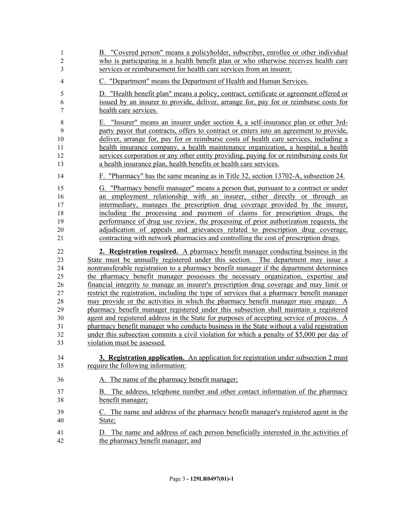| 1              | B. "Covered person" means a policyholder, subscriber, enrollee or other individual                    |
|----------------|-------------------------------------------------------------------------------------------------------|
| $\overline{c}$ | who is participating in a health benefit plan or who otherwise receives health care                   |
| 3              | services or reimbursement for health care services from an insurer.                                   |
| $\overline{4}$ | C. "Department" means the Department of Health and Human Services.                                    |
| 5              | D. "Health benefit plan" means a policy, contract, certificate or agreement offered or                |
| 6              | issued by an insurer to provide, deliver, arrange for, pay for or reimburse costs for                 |
| 7              | health care services.                                                                                 |
| $\,$ $\,$      | E. "Insurer" means an insurer under section 4, a self-insurance plan or other 3rd-                    |
| 9              | party payor that contracts, offers to contract or enters into an agreement to provide,                |
| 10             | deliver, arrange for, pay for or reimburse costs of health care services, including a                 |
| 11             | health insurance company, a health maintenance organization, a hospital, a health                     |
| 12             | services corporation or any other entity providing, paying for or reimbursing costs for               |
| 13             | a health insurance plan, health benefits or health care services.                                     |
| 14             | F. "Pharmacy" has the same meaning as in Title 32, section 13702-A, subsection 24.                    |
| 15             | G. "Pharmacy benefit manager" means a person that, pursuant to a contract or under                    |
| 16             | an employment relationship with an insurer, either directly or through an                             |
| 17             | intermediary, manages the prescription drug coverage provided by the insurer,                         |
| 18             | including the processing and payment of claims for prescription drugs, the                            |
| 19             | performance of drug use review, the processing of prior authorization requests, the                   |
| 20             | adjudication of appeals and grievances related to prescription drug coverage,                         |
| 21             | contracting with network pharmacies and controlling the cost of prescription drugs.                   |
| 22             | 2. Registration required. A pharmacy benefit manager conducting business in the                       |
| 23             | State must be annually registered under this section. The department may issue a                      |
| 24             | nontransferable registration to a pharmacy benefit manager if the department determines               |
| 25             | the pharmacy benefit manager possesses the necessary organization, expertise and                      |
| 26             | financial integrity to manage an insurer's prescription drug coverage and may limit or                |
| 27             | restrict the registration, including the type of services that a pharmacy benefit manager             |
| 28             | may provide or the activities in which the pharmacy benefit manager may engage. A                     |
| 29             | pharmacy benefit manager registered under this subsection shall maintain a registered                 |
| 30             | agent and registered address in the State for purposes of accepting service of process. A             |
| 31             | pharmacy benefit manager who conducts business in the State without a valid registration              |
| 32             | under this subsection commits a civil violation for which a penalty of \$5,000 per day of             |
| 33             | violation must be assessed.                                                                           |
| 34             | 3. Registration application. An application for registration under subsection 2 must                  |
| 35             | require the following information:                                                                    |
| 36             | A. The name of the pharmacy benefit manager;                                                          |
| 37<br>38       | The address, telephone number and other contact information of the pharmacy<br>В.<br>benefit manager; |
| 39             | C. The name and address of the pharmacy benefit manager's registered agent in the                     |
| 40             | State;                                                                                                |
| 41             | D. The name and address of each person beneficially interested in the activities of                   |
| 42             | the pharmacy benefit manager; and                                                                     |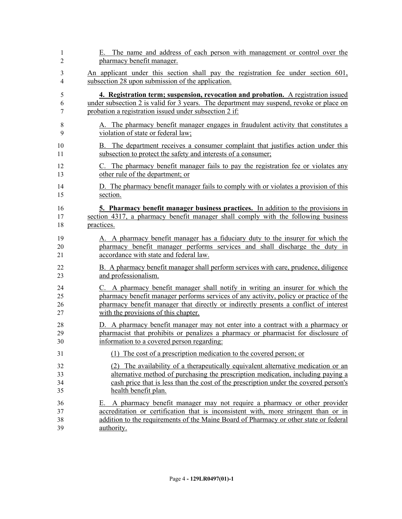| 1                    | E. The name and address of each person with management or control over the                                                                                                                                                                                                  |
|----------------------|-----------------------------------------------------------------------------------------------------------------------------------------------------------------------------------------------------------------------------------------------------------------------------|
| $\overline{2}$       | pharmacy benefit manager.                                                                                                                                                                                                                                                   |
| 3                    | An applicant under this section shall pay the registration fee under section 601,                                                                                                                                                                                           |
| 4                    | subsection 28 upon submission of the application.                                                                                                                                                                                                                           |
| 5                    | 4. Registration term; suspension, revocation and probation. A registration issued                                                                                                                                                                                           |
| 6                    | under subsection 2 is valid for 3 years. The department may suspend, revoke or place on                                                                                                                                                                                     |
| 7                    | probation a registration issued under subsection 2 if:                                                                                                                                                                                                                      |
| $8\,$                | A. The pharmacy benefit manager engages in fraudulent activity that constitutes a                                                                                                                                                                                           |
| 9                    | violation of state or federal law;                                                                                                                                                                                                                                          |
| 10                   | B. The department receives a consumer complaint that justifies action under this                                                                                                                                                                                            |
| 11                   | subsection to protect the safety and interests of a consumer;                                                                                                                                                                                                               |
| 12                   | C. The pharmacy benefit manager fails to pay the registration fee or violates any                                                                                                                                                                                           |
| 13                   | other rule of the department; or                                                                                                                                                                                                                                            |
| 14                   | D. The pharmacy benefit manager fails to comply with or violates a provision of this                                                                                                                                                                                        |
| 15                   | section.                                                                                                                                                                                                                                                                    |
| 16                   | 5. Pharmacy benefit manager business practices. In addition to the provisions in                                                                                                                                                                                            |
| 17                   | section 4317, a pharmacy benefit manager shall comply with the following business                                                                                                                                                                                           |
| 18                   | practices.                                                                                                                                                                                                                                                                  |
| 19                   | A. A pharmacy benefit manager has a fiduciary duty to the insurer for which the                                                                                                                                                                                             |
| 20                   | pharmacy benefit manager performs services and shall discharge the duty in                                                                                                                                                                                                  |
| 21                   | accordance with state and federal law.                                                                                                                                                                                                                                      |
| 22                   | B. A pharmacy benefit manager shall perform services with care, prudence, diligence                                                                                                                                                                                         |
| 23                   | and professionalism.                                                                                                                                                                                                                                                        |
| 24                   | C. A pharmacy benefit manager shall notify in writing an insurer for which the                                                                                                                                                                                              |
| 25                   | pharmacy benefit manager performs services of any activity, policy or practice of the                                                                                                                                                                                       |
| 26                   | pharmacy benefit manager that directly or indirectly presents a conflict of interest                                                                                                                                                                                        |
| 27                   | with the provisions of this chapter.                                                                                                                                                                                                                                        |
| 28                   | D. A pharmacy benefit manager may not enter into a contract with a pharmacy or                                                                                                                                                                                              |
| 29                   | pharmacist that prohibits or penalizes a pharmacy or pharmacist for disclosure of                                                                                                                                                                                           |
| 30                   | information to a covered person regarding:                                                                                                                                                                                                                                  |
| 31                   | The cost of a prescription medication to the covered person; or                                                                                                                                                                                                             |
| 32                   | (2) The availability of a therapeutically equivalent alternative medication or an                                                                                                                                                                                           |
| 33                   | alternative method of purchasing the prescription medication, including paying a                                                                                                                                                                                            |
| 34                   | cash price that is less than the cost of the prescription under the covered person's                                                                                                                                                                                        |
| 35                   | health benefit plan.                                                                                                                                                                                                                                                        |
| 36<br>37<br>38<br>39 | A pharmacy benefit manager may not require a pharmacy or other provider<br>Е.<br>accreditation or certification that is inconsistent with, more stringent than or in<br>addition to the requirements of the Maine Board of Pharmacy or other state or federal<br>authority. |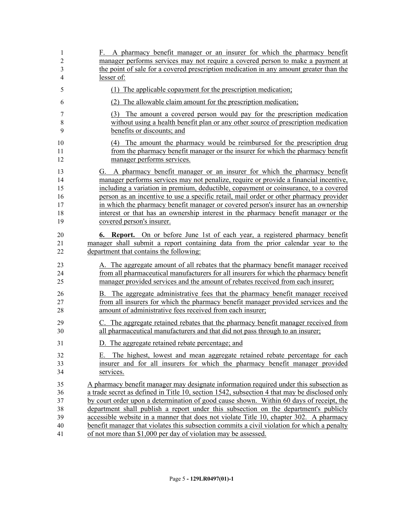| 1              | F. A pharmacy benefit manager or an insurer for which the pharmacy benefit                   |
|----------------|----------------------------------------------------------------------------------------------|
| $\overline{2}$ | manager performs services may not require a covered person to make a payment at              |
| 3              | the point of sale for a covered prescription medication in any amount greater than the       |
| $\overline{4}$ | lesser of:                                                                                   |
| 5              | (1) The applicable copayment for the prescription medication;                                |
| 6              | (2) The allowable claim amount for the prescription medication;                              |
| 7              | (3) The amount a covered person would pay for the prescription medication                    |
| $8\,$          | without using a health benefit plan or any other source of prescription medication           |
| 9              | benefits or discounts; and                                                                   |
| 10             | (4) The amount the pharmacy would be reimbursed for the prescription drug                    |
| 11             | from the pharmacy benefit manager or the insurer for which the pharmacy benefit              |
| 12             | manager performs services.                                                                   |
| 13             | G. A pharmacy benefit manager or an insurer for which the pharmacy benefit                   |
| 14             | manager performs services may not penalize, require or provide a financial incentive,        |
| 15             | including a variation in premium, deductible, copayment or coinsurance, to a covered         |
| 16             | person as an incentive to use a specific retail, mail order or other pharmacy provider       |
| 17             | in which the pharmacy benefit manager or covered person's insurer has an ownership           |
| 18             | interest or that has an ownership interest in the pharmacy benefit manager or the            |
| 19             | covered person's insurer.                                                                    |
| 20             | <b>6. Report.</b> On or before June 1st of each year, a registered pharmacy benefit          |
| 21             | manager shall submit a report containing data from the prior calendar year to the            |
| 22             | department that contains the following:                                                      |
| 23             | A. The aggregate amount of all rebates that the pharmacy benefit manager received            |
| 24             | from all pharmaceutical manufacturers for all insurers for which the pharmacy benefit        |
| 25             | manager provided services and the amount of rebates received from each insurer;              |
| 26             | B. The aggregate administrative fees that the pharmacy benefit manager received              |
| 27             | from all insurers for which the pharmacy benefit manager provided services and the           |
| 28             | amount of administrative fees received from each insurer;                                    |
| 29             | C. The aggregate retained rebates that the pharmacy benefit manager received from            |
| 30             | all pharmaceutical manufacturers and that did not pass through to an insurer;                |
| 31             | D. The aggregate retained rebate percentage; and                                             |
| 32             | E. The highest, lowest and mean aggregate retained rebate percentage for each                |
| 33             | insurer and for all insurers for which the pharmacy benefit manager provided                 |
| 34             | services.                                                                                    |
| 35             | A pharmacy benefit manager may designate information required under this subsection as       |
| 36             | a trade secret as defined in Title 10, section 1542, subsection 4 that may be disclosed only |
| 37             | by court order upon a determination of good cause shown. Within 60 days of receipt, the      |
| 38             | department shall publish a report under this subsection on the department's publicly         |
| 39             | accessible website in a manner that does not violate Title 10, chapter 302. A pharmacy       |
| 40             | benefit manager that violates this subsection commits a civil violation for which a penalty  |
| 41             | of not more than \$1,000 per day of violation may be assessed.                               |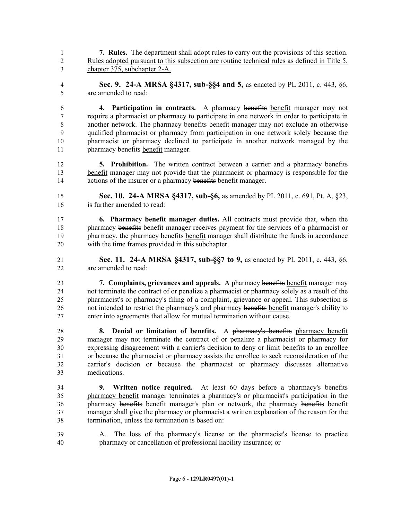**7. Rules.** The department shall adopt rules to carry out the provisions of this section. Rules adopted pursuant to this subsection are routine technical rules as defined in Title 5, chapter 375, subchapter 2-A.

 **Sec. 9. 24-A MRSA §4317, sub-§§4 and 5,** as enacted by PL 2011, c. 443, §6, are amended to read:

 **4. Participation in contracts.** A pharmacy benefits benefit manager may not require a pharmacist or pharmacy to participate in one network in order to participate in another network. The pharmacy benefits benefit manager may not exclude an otherwise qualified pharmacist or pharmacy from participation in one network solely because the pharmacist or pharmacy declined to participate in another network managed by the 11 pharmacy benefits benefit manager.

 **5. Prohibition.** The written contract between a carrier and a pharmacy benefits benefit manager may not provide that the pharmacist or pharmacy is responsible for the actions of the insurer or a pharmacy benefits benefit manager.

 **Sec. 10. 24-A MRSA §4317, sub-§6,** as amended by PL 2011, c. 691, Pt. A, §23, is further amended to read:

 **6. Pharmacy benefit manager duties.** All contracts must provide that, when the 18 pharmacy benefits benefit manager receives payment for the services of a pharmacist or 19 pharmacy, the pharmacy benefits benefit manager shall distribute the funds in accordance with the time frames provided in this subchapter.

 **Sec. 11. 24-A MRSA §4317, sub-§§7 to 9,** as enacted by PL 2011, c. 443, §6, are amended to read:

 **7. Complaints, grievances and appeals.** A pharmacy benefits benefit manager may not terminate the contract of or penalize a pharmacist or pharmacy solely as a result of the pharmacist's or pharmacy's filing of a complaint, grievance or appeal. This subsection is not intended to restrict the pharmacy's and pharmacy benefits benefit manager's ability to enter into agreements that allow for mutual termination without cause.

 **8. Denial or limitation of benefits.** A pharmacy's benefits pharmacy benefit manager may not terminate the contract of or penalize a pharmacist or pharmacy for expressing disagreement with a carrier's decision to deny or limit benefits to an enrollee or because the pharmacist or pharmacy assists the enrollee to seek reconsideration of the carrier's decision or because the pharmacist or pharmacy discusses alternative medications.

 **9. Written notice required.** At least 60 days before a pharmacy's benefits pharmacy benefit manager terminates a pharmacy's or pharmacist's participation in the pharmacy benefits benefit manager's plan or network, the pharmacy benefits benefit 37 manager shall give the pharmacy or pharmacist a written explanation of the reason for the termination, unless the termination is based on:

 A. The loss of the pharmacy's license or the pharmacist's license to practice pharmacy or cancellation of professional liability insurance; or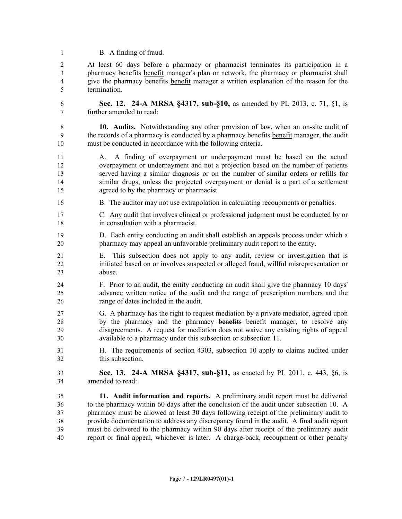B. A finding of fraud.

 At least 60 days before a pharmacy or pharmacist terminates its participation in a pharmacy benefits benefit manager's plan or network, the pharmacy or pharmacist shall give the pharmacy benefits benefit manager a written explanation of the reason for the termination.

 **Sec. 12. 24-A MRSA §4317, sub-§10,** as amended by PL 2013, c. 71, §1, is further amended to read:

 **10. Audits.** Notwithstanding any other provision of law, when an on-site audit of 9 the records of a pharmacy is conducted by a pharmacy benefits benefit manager, the audit must be conducted in accordance with the following criteria.

- A. A finding of overpayment or underpayment must be based on the actual overpayment or underpayment and not a projection based on the number of patients served having a similar diagnosis or on the number of similar orders or refills for similar drugs, unless the projected overpayment or denial is a part of a settlement agreed to by the pharmacy or pharmacist.
- B. The auditor may not use extrapolation in calculating recoupments or penalties.
- C. Any audit that involves clinical or professional judgment must be conducted by or in consultation with a pharmacist.
- D. Each entity conducting an audit shall establish an appeals process under which a pharmacy may appeal an unfavorable preliminary audit report to the entity.
- E. This subsection does not apply to any audit, review or investigation that is initiated based on or involves suspected or alleged fraud, willful misrepresentation or abuse.
- F. Prior to an audit, the entity conducting an audit shall give the pharmacy 10 days' advance written notice of the audit and the range of prescription numbers and the range of dates included in the audit.
- G. A pharmacy has the right to request mediation by a private mediator, agreed upon 28 by the pharmacy and the pharmacy benefits benefit manager, to resolve any disagreements. A request for mediation does not waive any existing rights of appeal available to a pharmacy under this subsection or subsection 11.
- H. The requirements of section 4303, subsection 10 apply to claims audited under this subsection.
- **Sec. 13. 24-A MRSA §4317, sub-§11,** as enacted by PL 2011, c. 443, §6, is amended to read:
- **11. Audit information and reports.** A preliminary audit report must be delivered to the pharmacy within 60 days after the conclusion of the audit under subsection 10. A pharmacy must be allowed at least 30 days following receipt of the preliminary audit to provide documentation to address any discrepancy found in the audit. A final audit report must be delivered to the pharmacy within 90 days after receipt of the preliminary audit report or final appeal, whichever is later. A charge-back, recoupment or other penalty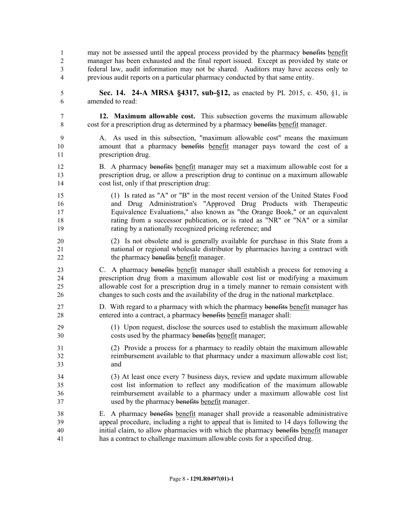- 1 may not be assessed until the appeal process provided by the pharmacy benefits benefit manager has been exhausted and the final report issued. Except as provided by state or federal law, audit information may not be shared. Auditors may have access only to previous audit reports on a particular pharmacy conducted by that same entity.
- **Sec. 14. 24-A MRSA §4317, sub-§12,** as enacted by PL 2015, c. 450, §1, is amended to read:
- **12. Maximum allowable cost.** This subsection governs the maximum allowable cost for a prescription drug as determined by a pharmacy benefits benefit manager.
- A. As used in this subsection, "maximum allowable cost" means the maximum 10 amount that a pharmacy benefits benefit manager pays toward the cost of a prescription drug.
- 12 B. A pharmacy benefits benefit manager may set a maximum allowable cost for a prescription drug, or allow a prescription drug to continue on a maximum allowable cost list, only if that prescription drug:
- (1) Is rated as "A" or "B" in the most recent version of the United States Food and Drug Administration's "Approved Drug Products with Therapeutic Equivalence Evaluations," also known as "the Orange Book," or an equivalent rating from a successor publication, or is rated as "NR" or "NA" or a similar rating by a nationally recognized pricing reference; and
- (2) Is not obsolete and is generally available for purchase in this State from a national or regional wholesale distributor by pharmacies having a contract with 22 the pharmacy benefits benefit manager.
- C. A pharmacy benefits benefit manager shall establish a process for removing a prescription drug from a maximum allowable cost list or modifying a maximum allowable cost for a prescription drug in a timely manner to remain consistent with changes to such costs and the availability of the drug in the national marketplace.
- D. With regard to a pharmacy with which the pharmacy benefits benefit manager has entered into a contract, a pharmacy benefits benefit manager shall:
- (1) Upon request, disclose the sources used to establish the maximum allowable costs used by the pharmacy benefits benefit manager;
- (2) Provide a process for a pharmacy to readily obtain the maximum allowable reimbursement available to that pharmacy under a maximum allowable cost list; and
- (3) At least once every 7 business days, review and update maximum allowable cost list information to reflect any modification of the maximum allowable reimbursement available to a pharmacy under a maximum allowable cost list used by the pharmacy benefits benefit manager.
- E. A pharmacy benefits benefit manager shall provide a reasonable administrative appeal procedure, including a right to appeal that is limited to 14 days following the 40 initial claim, to allow pharmacies with which the pharmacy benefits benefit manager has a contract to challenge maximum allowable costs for a specified drug.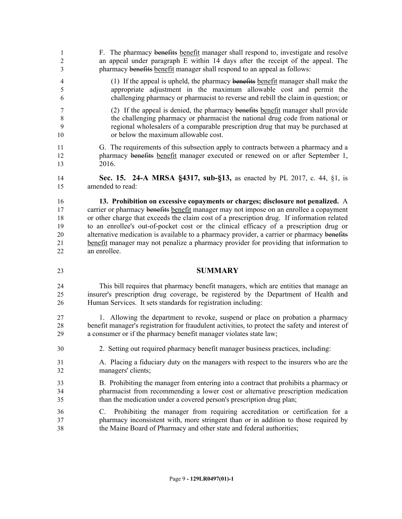- F. The pharmacy benefits benefit manager shall respond to, investigate and resolve an appeal under paragraph E within 14 days after the receipt of the appeal. The 3 **pharmacy benefits benefit manager shall respond to an appeal as follows:**
- (1) If the appeal is upheld, the pharmacy benefits benefit manager shall make the appropriate adjustment in the maximum allowable cost and permit the challenging pharmacy or pharmacist to reverse and rebill the claim in question; or
- (2) If the appeal is denied, the pharmacy benefits benefit manager shall provide the challenging pharmacy or pharmacist the national drug code from national or regional wholesalers of a comparable prescription drug that may be purchased at or below the maximum allowable cost.
- G. The requirements of this subsection apply to contracts between a pharmacy and a 12 pharmacy benefits benefit manager executed or renewed on or after September 1, 2016.
- **Sec. 15. 24-A MRSA §4317, sub-§13,** as enacted by PL 2017, c. 44, §1, is amended to read:
- **13. Prohibition on excessive copayments or charges; disclosure not penalized.** A 17 carrier or pharmacy benefits benefit manager may not impose on an enrollee a copayment or other charge that exceeds the claim cost of a prescription drug. If information related to an enrollee's out-of-pocket cost or the clinical efficacy of a prescription drug or 20 alternative medication is available to a pharmacy provider, a carrier or pharmacy benefits benefit manager may not penalize a pharmacy provider for providing that information to an enrollee.
- 

## **SUMMARY**

- This bill requires that pharmacy benefit managers, which are entities that manage an insurer's prescription drug coverage, be registered by the Department of Health and Human Services. It sets standards for registration including:
- 1. Allowing the department to revoke, suspend or place on probation a pharmacy benefit manager's registration for fraudulent activities, to protect the safety and interest of a consumer or if the pharmacy benefit manager violates state law;
- 2. Setting out required pharmacy benefit manager business practices, including:
- A. Placing a fiduciary duty on the managers with respect to the insurers who are the managers' clients;
- B. Prohibiting the manager from entering into a contract that prohibits a pharmacy or pharmacist from recommending a lower cost or alternative prescription medication than the medication under a covered person's prescription drug plan;
- C. Prohibiting the manager from requiring accreditation or certification for a pharmacy inconsistent with, more stringent than or in addition to those required by the Maine Board of Pharmacy and other state and federal authorities;